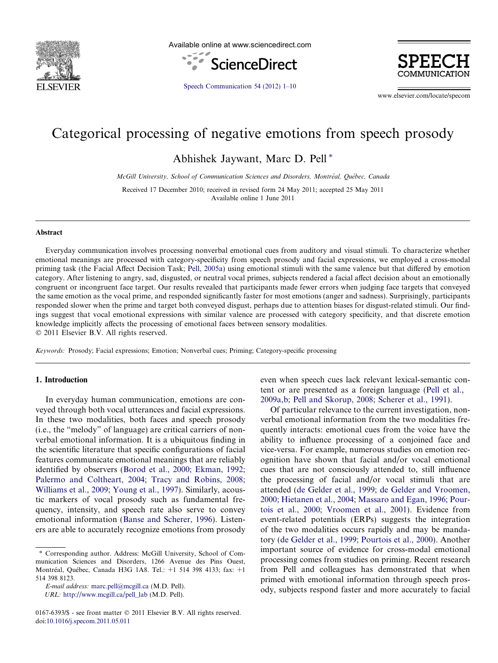

Available online at www.sciencedirect.com





[Speech Communication 54 \(2012\) 1–10](http://dx.doi.org/10.1016/j.specom.2011.05.011)

www.elsevier.com/locate/specom

## Categorical processing of negative emotions from speech prosody

Abhishek Jaywant, Marc D. Pell<sup>\*</sup>

McGill University, School of Communication Sciences and Disorders, Montréal, Ouébec, Canada

Received 17 December 2010; received in revised form 24 May 2011; accepted 25 May 2011 Available online 1 June 2011

## Abstract

Everyday communication involves processing nonverbal emotional cues from auditory and visual stimuli. To characterize whether emotional meanings are processed with category-specificity from speech prosody and facial expressions, we employed a cross-modal priming task (the Facial Affect Decision Task; [Pell, 2005a](#page--1-0)) using emotional stimuli with the same valence but that differed by emotion category. After listening to angry, sad, disgusted, or neutral vocal primes, subjects rendered a facial affect decision about an emotionally congruent or incongruent face target. Our results revealed that participants made fewer errors when judging face targets that conveyed the same emotion as the vocal prime, and responded significantly faster for most emotions (anger and sadness). Surprisingly, participants responded slower when the prime and target both conveyed disgust, perhaps due to attention biases for disgust-related stimuli. Our findings suggest that vocal emotional expressions with similar valence are processed with category specificity, and that discrete emotion knowledge implicitly affects the processing of emotional faces between sensory modalities. © 2011 Elsevier B.V. All rights reserved.

Keywords: Prosody; Facial expressions; Emotion; Nonverbal cues; Priming; Category-specific processing

## 1. Introduction

In everyday human communication, emotions are conveyed through both vocal utterances and facial expressions. In these two modalities, both faces and speech prosody (i.e., the "melody" of language) are critical carriers of nonverbal emotional information. It is a ubiquitous finding in the scientific literature that specific configurations of facial features communicate emotional meanings that are reliably identified by observers ([Borod et al., 2000; Ekman, 1992;](#page--1-0) [Palermo and Coltheart, 2004; Tracy and Robins, 2008;](#page--1-0) [Williams et al., 2009; Young et al., 1997](#page--1-0)). Similarly, acoustic markers of vocal prosody such as fundamental frequency, intensity, and speech rate also serve to convey emotional information [\(Banse and Scherer, 1996](#page--1-0)). Listeners are able to accurately recognize emotions from prosody even when speech cues lack relevant lexical-semantic content or are presented as a foreign language [\(Pell et al.,](#page--1-0) [2009a,b; Pell and Skorup, 2008; Scherer et al., 1991](#page--1-0)).

Of particular relevance to the current investigation, nonverbal emotional information from the two modalities frequently interacts: emotional cues from the voice have the ability to influence processing of a conjoined face and vice-versa. For example, numerous studies on emotion recognition have shown that facial and/or vocal emotional cues that are not consciously attended to, still influence the processing of facial and/or vocal stimuli that are attended [\(de Gelder et al., 1999; de Gelder and Vroomen,](#page--1-0) [2000; Hietanen et al., 2004; Massaro and Egan, 1996; Pour](#page--1-0)[tois et al., 2000; Vroomen et al., 2001\)](#page--1-0). Evidence from event-related potentials (ERPs) suggests the integration of the two modalities occurs rapidly and may be mandatory [\(de Gelder et al., 1999; Pourtois et al., 2000\)](#page--1-0). Another important source of evidence for cross-modal emotional processing comes from studies on priming. Recent research from Pell and colleagues has demonstrated that when primed with emotional information through speech prosody, subjects respond faster and more accurately to facial

<sup>⇑</sup> Corresponding author. Address: McGill University, School of Communication Sciences and Disorders, 1266 Avenue des Pins Ouest, Montréal, Québec, Canada H3G 1A8. Tel.: +1 514 398 4133; fax: +1 514 398 8123.

E-mail address: [marc.pell@mcgill.ca](mailto:marc.pell@mcgill.ca) (M.D. Pell).

URL: [http://www.mcgill.ca/pell\\_lab](http://www.mcgill.ca/pell_lab) (M.D. Pell).

<sup>0167-6393/\$ -</sup> see front matter © 2011 Elsevier B.V. All rights reserved. doi:[10.1016/j.specom.2011.05.011](http://dx.doi.org/10.1016/j.specom.2011.05.011)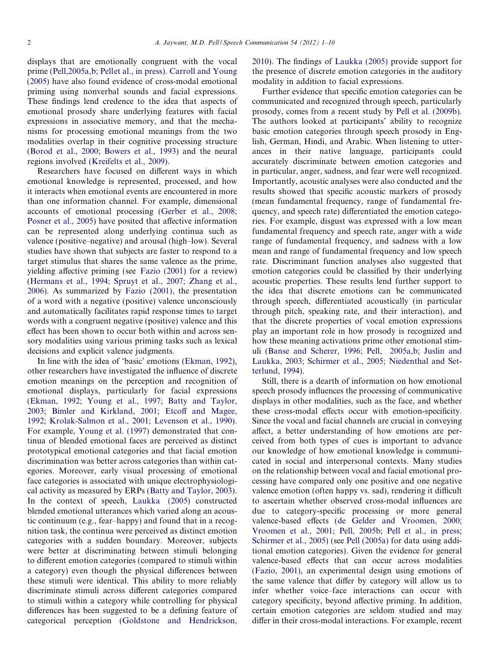displays that are emotionally congruent with the vocal prime [\(Pell,2005a,b; Pellet al., in press](#page--1-0)). [Carroll and Young](#page--1-0) [\(2005\)](#page--1-0) have also found evidence of cross-modal emotional priming using nonverbal sounds and facial expressions. These findings lend credence to the idea that aspects of emotional prosody share underlying features with facial expressions in associative memory, and that the mechanisms for processing emotional meanings from the two modalities overlap in their cognitive processing structure [\(Borod et al., 2000; Bowers et al., 1993\)](#page--1-0) and the neural regions involved ([Kreifelts et al., 2009](#page--1-0)).

Researchers have focused on different ways in which emotional knowledge is represented, processed, and how it interacts when emotional events are encountered in more than one information channel. For example, dimensional accounts of emotional processing ([Gerber et al., 2008;](#page--1-0) [Posner et al., 2005\)](#page--1-0) have posited that affective information can be represented along underlying continua such as valence (positive–negative) and arousal (high–low). Several studies have shown that subjects are faster to respond to a target stimulus that shares the same valence as the prime, yielding affective priming (see [Fazio \(2001\)](#page--1-0) for a review) [\(Hermans et al., 1994; Spruyt et al., 2007; Zhang et al.,](#page--1-0) [2006\)](#page--1-0). As summarized by [Fazio \(2001\)](#page--1-0), the presentation of a word with a negative (positive) valence unconsciously and automatically facilitates rapid response times to target words with a congruent negative (positive) valence and this effect has been shown to occur both within and across sensory modalities using various priming tasks such as lexical decisions and explicit valence judgments.

In line with the idea of 'basic' emotions [\(Ekman, 1992\)](#page--1-0), other researchers have investigated the influence of discrete emotion meanings on the perception and recognition of emotional displays, particularly for facial expressions [\(Ekman, 1992; Young et al., 1997; Batty and Taylor,](#page--1-0) [2003; Bimler and Kirkland, 2001; Etcoff and Magee,](#page--1-0) [1992; Krolak-Salmon et al., 2001; Levenson et al., 1990\)](#page--1-0). For example, [Young et al. \(1997\)](#page--1-0) demonstrated that continua of blended emotional faces are perceived as distinct prototypical emotional categories and that facial emotion discrimination was better across categories than within categories. Moreover, early visual processing of emotional face categories is associated with unique electrophysiological activity as measured by ERPs [\(Batty and Taylor, 2003\)](#page--1-0). In the context of speech, [Laukka \(2005\)](#page--1-0) constructed blended emotional utterances which varied along an acoustic continuum (e.g., fear–happy) and found that in a recognition task, the continua were perceived as distinct emotion categories with a sudden boundary. Moreover, subjects were better at discriminating between stimuli belonging to different emotion categories (compared to stimuli within a category) even though the physical differences between these stimuli were identical. This ability to more reliably discriminate stimuli across different categories compared to stimuli within a category while controlling for physical differences has been suggested to be a defining feature of categorical perception [\(Goldstone and Hendrickson,](#page--1-0)

[2010\)](#page--1-0). The findings of [Laukka \(2005\)](#page--1-0) provide support for the presence of discrete emotion categories in the auditory modality in addition to facial expressions.

Further evidence that specific emotion categories can be communicated and recognized through speech, particularly prosody, comes from a recent study by [Pell et al. \(2009b\)](#page--1-0). The authors looked at participants' ability to recognize basic emotion categories through speech prosody in English, German, Hindi, and Arabic. When listening to utterances in their native language, participants could accurately discriminate between emotion categories and in particular, anger, sadness, and fear were well recognized. Importantly, acoustic analyses were also conducted and the results showed that specific acoustic markers of prosody (mean fundamental frequency, range of fundamental frequency, and speech rate) differentiated the emotion categories. For example, disgust was expressed with a low mean fundamental frequency and speech rate, anger with a wide range of fundamental frequency, and sadness with a low mean and range of fundamental frequency and low speech rate. Discriminant function analyses also suggested that emotion categories could be classified by their underlying acoustic properties. These results lend further support to the idea that discrete emotions can be communicated through speech, differentiated acoustically (in particular through pitch, speaking rate, and their interaction), and that the discrete properties of vocal emotion expressions play an important role in how prosody is recognized and how these meaning activations prime other emotional stimuli ([Banse and Scherer, 1996; Pell, 2005a,b; Juslin and](#page--1-0) [Laukka, 2003; Schirmer et al., 2005; Niedenthal and Set](#page--1-0)[terlund, 1994](#page--1-0)).

Still, there is a dearth of information on how emotional speech prosody influences the processing of communicative displays in other modalities, such as the face, and whether these cross-modal effects occur with emotion-specificity. Since the vocal and facial channels are crucial in conveying affect, a better understanding of how emotions are perceived from both types of cues is important to advance our knowledge of how emotional knowledge is communicated in social and interpersonal contexts. Many studies on the relationship between vocal and facial emotional processing have compared only one positive and one negative valence emotion (often happy vs. sad), rendering it difficult to ascertain whether observed cross-modal influences are due to category-specific processing or more general valence-based effects ([de Gelder and Vroomen, 2000;](#page--1-0) [Vroomen et al., 2001; Pell, 2005b; Pell et al., in press;](#page--1-0) [Schirmer et al., 2005\)](#page--1-0) (see [Pell \(2005a\)](#page--1-0) for data using additional emotion categories). Given the evidence for general valence-based effects that can occur across modalities [\(Fazio, 2001](#page--1-0)), an experimental design using emotions of the same valence that differ by category will allow us to infer whether voice–face interactions can occur with category specificity, beyond affective priming. In addition, certain emotion categories are seldom studied and may differ in their cross-modal interactions. For example, recent